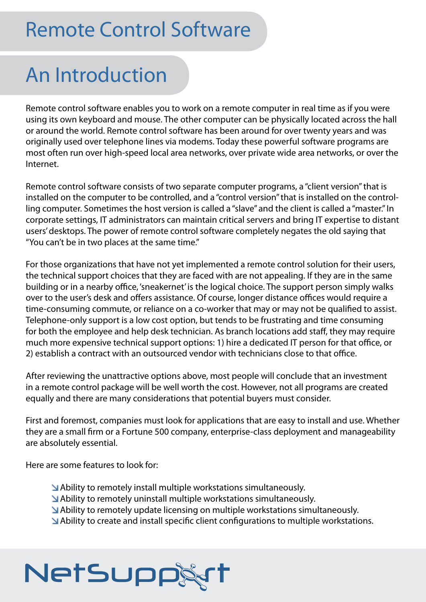### Remote Control Software

### An Introduction

Remote control software enables you to work on a remote computer in real time as if you were using its own keyboard and mouse. The other computer can be physically located across the hall or around the world. Remote control software has been around for over twenty years and was originally used over telephone lines via modems. Today these powerful software programs are most often run over high-speed local area networks, over private wide area networks, or over the Internet.

Remote control software consists of two separate computer programs, a "client version" that is installed on the computer to be controlled, and a "control version" that is installed on the controlling computer. Sometimes the host version is called a "slave" and the client is called a "master." In corporate settings, IT administrators can maintain critical servers and bring IT expertise to distant users' desktops. The power of remote control software completely negates the old saying that "You can't be in two places at the same time."

For those organizations that have not yet implemented a remote control solution for their users, the technical support choices that they are faced with are not appealing. If they are in the same building or in a nearby office, 'sneakernet' is the logical choice. The support person simply walks over to the user's desk and offers assistance. Of course, longer distance offices would require a time-consuming commute, or reliance on a co-worker that may or may not be qualified to assist. Telephone-only support is a low cost option, but tends to be frustrating and time consuming for both the employee and help desk technician. As branch locations add staff, they may require much more expensive technical support options: 1) hire a dedicated IT person for that office, or 2) establish a contract with an outsourced vendor with technicians close to that office.

After reviewing the unattractive options above, most people will conclude that an investment in a remote control package will be well worth the cost. However, not all programs are created equally and there are many considerations that potential buyers must consider.

First and foremost, companies must look for applications that are easy to install and use. Whether they are a small firm or a Fortune 500 company, enterprise-class deployment and manageability are absolutely essential.

Here are some features to look for:

- Ability to remotely install multiple workstations simultaneously.
- Ability to remotely uninstall multiple workstations simultaneously.
- Ability to remotely update licensing on multiple workstations simultaneously.
- Ability to create and install specific client configurations to multiple workstations.

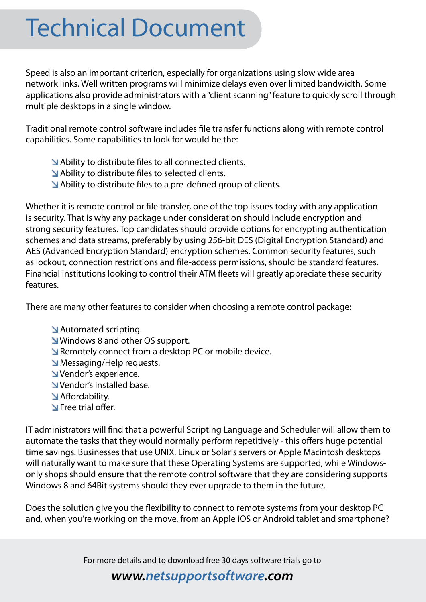## Technical Document

Speed is also an important criterion, especially for organizations using slow wide area network links. Well written programs will minimize delays even over limited bandwidth. Some applications also provide administrators with a "client scanning" feature to quickly scroll through multiple desktops in a single window.

Traditional remote control software includes file transfer functions along with remote control capabilities. Some capabilities to look for would be the:

 Ability to distribute files to all connected clients. Ability to distribute files to selected clients. Ability to distribute files to a pre-defined group of clients.

Whether it is remote control or file transfer, one of the top issues today with any application is security. That is why any package under consideration should include encryption and strong security features. Top candidates should provide options for encrypting authentication schemes and data streams, preferably by using 256-bit DES (Digital Encryption Standard) and AES (Advanced Encryption Standard) encryption schemes. Common security features, such as lockout, connection restrictions and file-access permissions, should be standard features. Financial institutions looking to control their ATM fleets will greatly appreciate these security features.

There are many other features to consider when choosing a remote control package:

 Automated scripting. **M** Windows 8 and other OS support. Remotely connect from a desktop PC or mobile device. Messaging/Help requests. Vendor's experience. Vendor's installed base. Affordability. **N** Free trial offer.

IT administrators will find that a powerful Scripting Language and Scheduler will allow them to automate the tasks that they would normally perform repetitively - this offers huge potential time savings. Businesses that use UNIX, Linux or Solaris servers or Apple Macintosh desktops will naturally want to make sure that these Operating Systems are supported, while Windowsonly shops should ensure that the remote control software that they are considering supports Windows 8 and 64Bit systems should they ever upgrade to them in the future.

Does the solution give you the flexibility to connect to remote systems from your desktop PC and, when you're working on the move, from an Apple iOS or Android tablet and smartphone?

For more details and to download free 30 days software trials go to

#### *www.netsupportsoftware.com*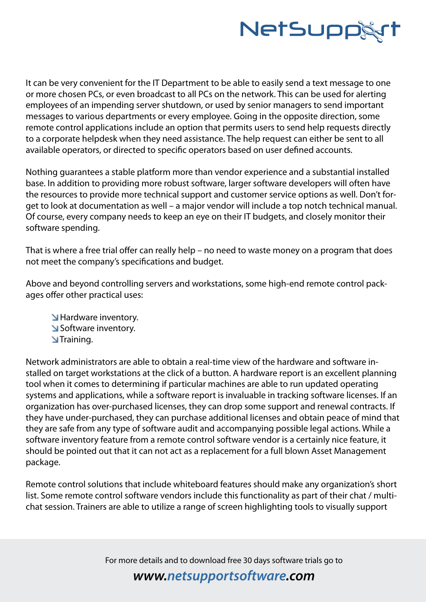

It can be very convenient for the IT Department to be able to easily send a text message to one or more chosen PCs, or even broadcast to all PCs on the network. This can be used for alerting employees of an impending server shutdown, or used by senior managers to send important messages to various departments or every employee. Going in the opposite direction, some remote control applications include an option that permits users to send help requests directly to a corporate helpdesk when they need assistance. The help request can either be sent to all available operators, or directed to specific operators based on user defined accounts.

Nothing guarantees a stable platform more than vendor experience and a substantial installed base. In addition to providing more robust software, larger software developers will often have the resources to provide more technical support and customer service options as well. Don't forget to look at documentation as well – a major vendor will include a top notch technical manual. Of course, every company needs to keep an eye on their IT budgets, and closely monitor their software spending.

That is where a free trial offer can really help – no need to waste money on a program that does not meet the company's specifications and budget.

Above and beyond controlling servers and workstations, some high-end remote control packages offer other practical uses:

**M** Hardware inventory. Software inventory. **N**Training.

Network administrators are able to obtain a real-time view of the hardware and software installed on target workstations at the click of a button. A hardware report is an excellent planning tool when it comes to determining if particular machines are able to run updated operating systems and applications, while a software report is invaluable in tracking software licenses. If an organization has over-purchased licenses, they can drop some support and renewal contracts. If they have under-purchased, they can purchase additional licenses and obtain peace of mind that they are safe from any type of software audit and accompanying possible legal actions. While a software inventory feature from a remote control software vendor is a certainly nice feature, it should be pointed out that it can not act as a replacement for a full blown Asset Management package.

Remote control solutions that include whiteboard features should make any organization's short list. Some remote control software vendors include this functionality as part of their chat / multichat session. Trainers are able to utilize a range of screen highlighting tools to visually support

For more details and to download free 30 days software trials go to

#### *www.netsupportsoftware.com*